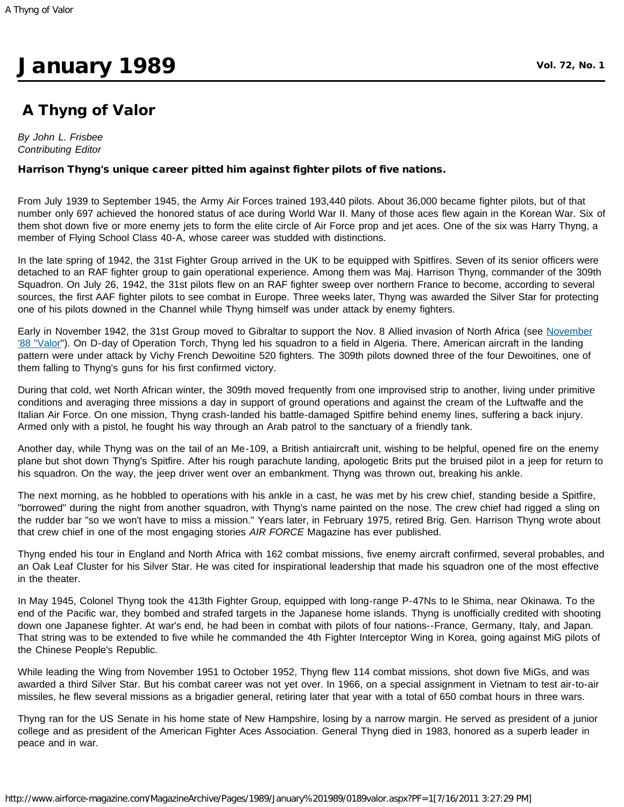## **January 1989** Vol. 72, No. 1

## A Thyng of Valor

*By John L. Frisbee Contributing Editor*

## Harrison Thyng's unique career pitted him against fighter pilots of five nations.

From July 1939 to September 1945, the Army Air Forces trained 193,440 pilots. About 36,000 became fighter pilots, but of that number only 697 achieved the honored status of ace during World War II. Many of those aces flew again in the Korean War. Six of them shot down five or more enemy jets to form the elite circle of Air Force prop and jet aces. One of the six was Harry Thyng, a member of Flying School Class 40-A, whose career was studded with distinctions.

In the late spring of 1942, the 31st Fighter Group arrived in the UK to be equipped with Spitfires. Seven of its senior officers were detached to an RAF fighter group to gain operational experience. Among them was Maj. Harrison Thyng, commander of the 309th Squadron. On July 26, 1942, the 31st pilots flew on an RAF fighter sweep over northern France to become, according to several sources, the first AAF fighter pilots to see combat in Europe. Three weeks later, Thyng was awarded the Silver Star for protecting one of his pilots downed in the Channel while Thyng himself was under attack by enemy fighters.

Early in [November](http://www.airforce-magazine.com/MagazineArchive/Pages/1988/November%201988/1188valor.aspx) 1942, the 31st Group moved to Gibraltar to support the Nov. 8 Allied invasion of North Africa (see November ['88 "Valor"](http://www.airforce-magazine.com/MagazineArchive/Pages/1988/November%201988/1188valor.aspx)). On D-day of Operation Torch, Thyng led his squadron to a field in Algeria. There, American aircraft in the landing pattern were under attack by Vichy French Dewoitine 520 fighters. The 309th pilots downed three of the four Dewoitines, one of them falling to Thyng's guns for his first confirmed victory.

During that cold, wet North African winter, the 309th moved frequently from one improvised strip to another, living under primitive conditions and averaging three missions a day in support of ground operations and against the cream of the Luftwaffe and the Italian Air Force. On one mission, Thyng crash-landed his battle-damaged Spitfire behind enemy lines, suffering a back injury. Armed only with a pistol, he fought his way through an Arab patrol to the sanctuary of a friendly tank.

Another day, while Thyng was on the tail of an Me-109, a British antiaircraft unit, wishing to be helpful, opened fire on the enemy plane but shot down Thyng's Spitfire. After his rough parachute landing, apologetic Brits put the bruised pilot in a jeep for return to his squadron. On the way, the jeep driver went over an embankment. Thyng was thrown out, breaking his ankle.

The next morning, as he hobbled to operations with his ankle in a cast, he was met by his crew chief, standing beside a Spitfire, "borrowed" during the night from another squadron, with Thyng's name painted on the nose. The crew chief had rigged a sling on the rudder bar "so we won't have to miss a mission." Years later, in February 1975, retired Brig. Gen. Harrison Thyng wrote about that crew chief in one of the most engaging stories *AIR FORCE* Magazine has ever published.

Thyng ended his tour in England and North Africa with 162 combat missions, five enemy aircraft confirmed, several probables, and an Oak Leaf Cluster for his Silver Star. He was cited for inspirational leadership that made his squadron one of the most effective in the theater.

In May 1945, Colonel Thyng took the 413th Fighter Group, equipped with long-range P-47Ns to Ie Shima, near Okinawa. To the end of the Pacific war, they bombed and strafed targets in the Japanese home islands. Thyng is unofficially credited with shooting down one Japanese fighter. At war's end, he had been in combat with pilots of four nations--France, Germany, Italy, and Japan. That string was to be extended to five while he commanded the 4th Fighter Interceptor Wing in Korea, going against MiG pilots of the Chinese People's Republic.

While leading the Wing from November 1951 to October 1952, Thyng flew 114 combat missions, shot down five MiGs, and was awarded a third Silver Star. But his combat career was not yet over. In 1966, on a special assignment in Vietnam to test air-to-air missiles, he flew several missions as a brigadier general, retiring later that year with a total of 650 combat hours in three wars.

Thyng ran for the US Senate in his home state of New Hampshire, losing by a narrow margin. He served as president of a junior college and as president of the American Fighter Aces Association. General Thyng died in 1983, honored as a superb leader in peace and in war.